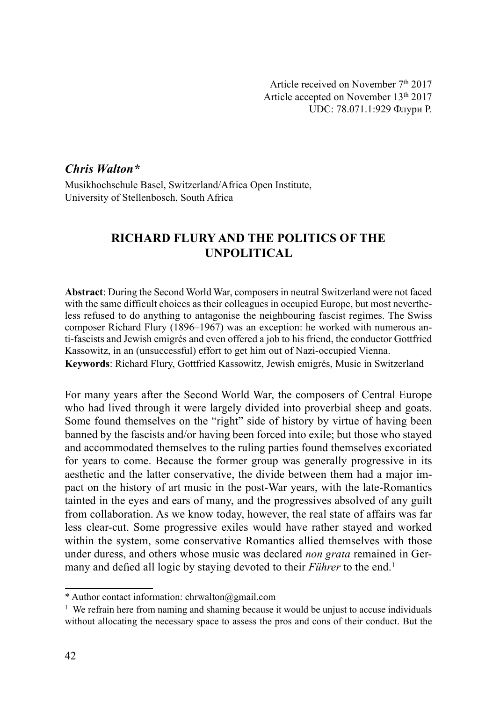Article received on November 7th 2017 Article accepted on November 13th 2017 UDC: 78.071.1:929 Флури Р.

## Chris Walton\*

Musikhochschule Basel, Switzerland/Africa Open Institute, University of Stellenbosch, South Africa

# RICHARD FLURY AND THE POLITICS OF THE UNPOLITICAL

Abstract: During the Second World War, composers in neutral Switzerland were not faced with the same difficult choices as their colleagues in occupied Europe, but most nevertheless refused to do anything to antagonise the neighbouring fascist regimes. The Swiss composer Richard Flury (1896–1967) was an exception: he worked with numerous anti-fascists and Jewish emigrés and even offered a job to his friend, the conductor Gottfried Kassowitz, in an (unsuccessful) effort to get him out of Nazi-occupied Vienna. Keywords: Richard Flury, Gottfried Kassowitz, Jewish emigrés, Music in Switzerland

For many years after the Second World War, the composers of Central Europe who had lived through it were largely divided into proverbial sheep and goats. Some found themselves on the "right" side of history by virtue of having been banned by the fascists and/or having been forced into exile; but those who stayed and accommodated themselves to the ruling parties found themselves excoriated for years to come. Because the former group was generally progressive in its aesthetic and the latter conservative, the divide between them had a major impact on the history of art music in the post-War years, with the late-Romantics tainted in the eyes and ears of many, and the progressives absolved of any guilt from collaboration. As we know today, however, the real state of affairs was far less clear-cut. Some progressive exiles would have rather stayed and worked within the system, some conservative Romantics allied themselves with those under duress, and others whose music was declared non grata remained in Germany and defied all logic by staying devoted to their *Führer* to the end.<sup>1</sup>

<sup>\*</sup> Author contact information: chrwalton@gmail.com

<sup>&</sup>lt;sup>1</sup> We refrain here from naming and shaming because it would be unjust to accuse individuals without allocating the necessary space to assess the pros and cons of their conduct. But the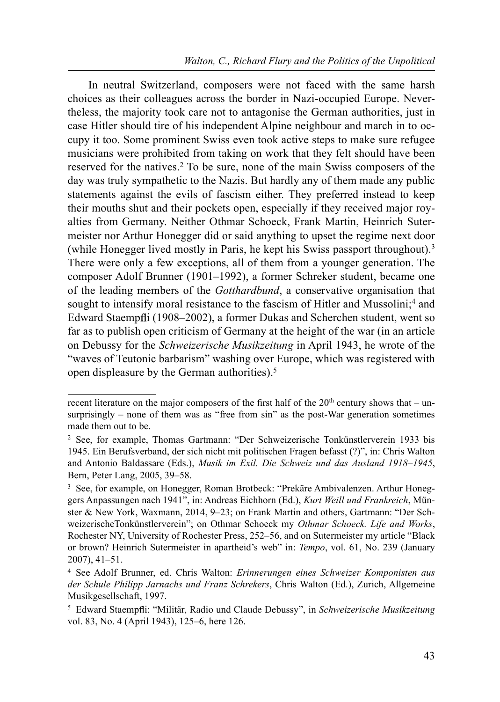In neutral Switzerland, composers were not faced with the same harsh choices as their colleagues across the border in Nazi-occupied Europe. Nevertheless, the majority took care not to antagonise the German authorities, just in case Hitler should tire of his independent Alpine neighbour and march in to occupy it too. Some prominent Swiss even took active steps to make sure refugee musicians were prohibited from taking on work that they felt should have been reserved for the natives.2 To be sure, none of the main Swiss composers of the day was truly sympathetic to the Nazis. But hardly any of them made any public statements against the evils of fascism either. They preferred instead to keep their mouths shut and their pockets open, especially if they received major royalties from Germany. Neither Othmar Schoeck, Frank Martin, Heinrich Sutermeister nor Arthur Honegger did or said anything to upset the regime next door (while Honegger lived mostly in Paris, he kept his Swiss passport throughout).<sup>3</sup> There were only a few exceptions, all of them from a younger generation. The composer Adolf Brunner (1901–1992), a former Schreker student, became one of the leading members of the Gotthardbund, a conservative organisation that sought to intensify moral resistance to the fascism of Hitler and Mussolini;<sup>4</sup> and Edward Staempfli (1908–2002), a former Dukas and Scherchen student, went so far as to publish open criticism of Germany at the height of the war (in an article on Debussy for the Schweizerische Musikzeitung in April 1943, he wrote of the "waves of Teutonic barbarism" washing over Europe, which was registered with open displeasure by the German authorities).5

recent literature on the major composers of the first half of the  $20<sup>th</sup>$  century shows that – unsurprisingly – none of them was as "free from sin" as the post-War generation sometimes made them out to be.

<sup>2</sup> See, for example, Thomas Gartmann: "Der Schweizerische Tonkünstlerverein 1933 bis 1945. Ein Berufsverband, der sich nicht mit politischen Fragen befasst (?)", in: Chris Walton and Antonio Baldassare (Eds.), Musik im Exil. Die Schweiz und das Ausland 1918–1945, Bern, Peter Lang, 2005, 39–58.

<sup>3</sup> See, for example, on Honegger, Roman Brotbeck: "Prekäre Ambivalenzen. Arthur Honeggers Anpassungen nach 1941", in: Andreas Eichhorn (Ed.), Kurt Weill und Frankreich, Münster & New York, Waxmann, 2014, 9–23; on Frank Martin and others, Gartmann: "Der SchweizerischeTonkünstlerverein"; on Othmar Schoeck my Othmar Schoeck. Life and Works, Rochester NY, University of Rochester Press, 252–56, and on Sutermeister my article "Black or brown? Heinrich Sutermeister in apartheid's web" in: Tempo, vol. 61, No. 239 (January 2007), 41–51.

<sup>4</sup> See Adolf Brunner, ed. Chris Walton: Erinnerungen eines Schweizer Komponisten aus der Schule Philipp Jarnachs und Franz Schrekers, Chris Walton (Ed.), Zurich, Allgemeine Musikgesellschaft, 1997.

<sup>&</sup>lt;sup>5</sup> Edward Staempfli: "Militär, Radio und Claude Debussy", in Schweizerische Musikzeitung vol. 83, No. 4 (April 1943), 125–6, here 126.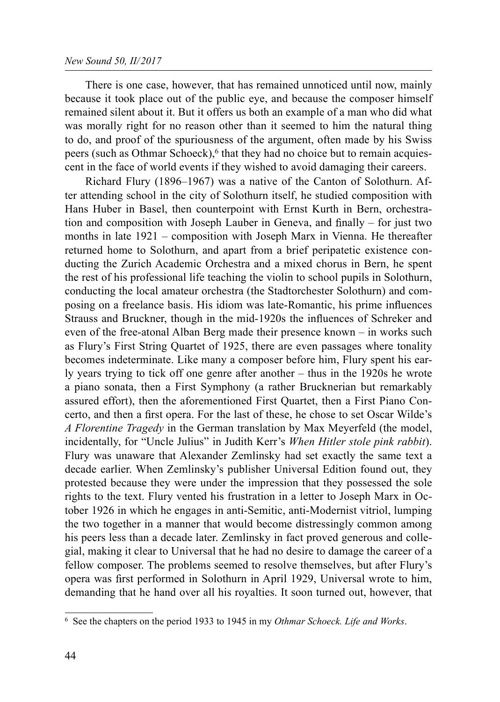#### New Sound 50, II/2017

There is one case, however, that has remained unnoticed until now, mainly because it took place out of the public eye, and because the composer himself remained silent about it. But it offers us both an example of a man who did what was morally right for no reason other than it seemed to him the natural thing to do, and proof of the spuriousness of the argument, often made by his Swiss peers (such as Othmar Schoeck), $6$  that they had no choice but to remain acquiescent in the face of world events if they wished to avoid damaging their careers.

Richard Flury (1896–1967) was a native of the Canton of Solothurn. After attending school in the city of Solothurn itself, he studied composition with Hans Huber in Basel, then counterpoint with Ernst Kurth in Bern, orchestration and composition with Joseph Lauber in Geneva, and finally – for just two months in late 1921 – composition with Joseph Marx in Vienna. He thereafter returned home to Solothurn, and apart from a brief peripatetic existence conducting the Zurich Academic Orchestra and a mixed chorus in Bern, he spent the rest of his professional life teaching the violin to school pupils in Solothurn, conducting the local amateur orchestra (the Stadtorchester Solothurn) and composing on a freelance basis. His idiom was late-Romantic, his prime influences Strauss and Bruckner, though in the mid-1920s the influences of Schreker and even of the free-atonal Alban Berg made their presence known – in works such as Flury's First String Quartet of 1925, there are even passages where tonality becomes indeterminate. Like many a composer before him, Flury spent his early years trying to tick off one genre after another – thus in the 1920s he wrote a piano sonata, then a First Symphony (a rather Brucknerian but remarkably assured effort), then the aforementioned First Quartet, then a First Piano Concerto, and then a first opera. For the last of these, he chose to set Oscar Wilde's A Florentine Tragedy in the German translation by Max Meyerfeld (the model, incidentally, for "Uncle Julius" in Judith Kerr's When Hitler stole pink rabbit). Flury was unaware that Alexander Zemlinsky had set exactly the same text a decade earlier. When Zemlinsky's publisher Universal Edition found out, they protested because they were under the impression that they possessed the sole rights to the text. Flury vented his frustration in a letter to Joseph Marx in October 1926 in which he engages in anti-Semitic, anti-Modernist vitriol, lumping the two together in a manner that would become distressingly common among his peers less than a decade later. Zemlinsky in fact proved generous and collegial, making it clear to Universal that he had no desire to damage the career of a fellow composer. The problems seemed to resolve themselves, but after Flury's opera was first performed in Solothurn in April 1929, Universal wrote to him, demanding that he hand over all his royalties. It soon turned out, however, that

<sup>&</sup>lt;sup>6</sup> See the chapters on the period 1933 to 1945 in my Othmar Schoeck. Life and Works.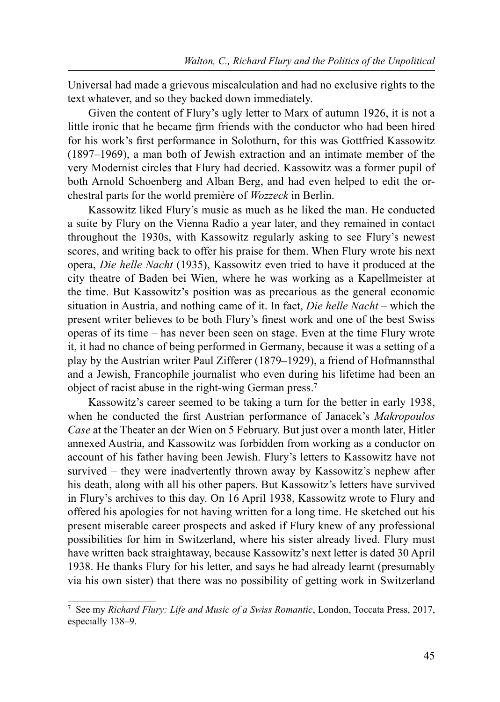Universal had made a grievous miscalculation and had no exclusive rights to the text whatever, and so they backed down immediately.

Given the content of Flury's ugly letter to Marx of autumn 1926, it is not a little ironic that he became firm friends with the conductor who had been hired for his work's first performance in Solothurn, for this was Gottfried Kassowitz (1897–1969), a man both of Jewish extraction and an intimate member of the very Modernist circles that Flury had decried. Kassowitz was a former pupil of both Arnold Schoenberg and Alban Berg, and had even helped to edit the orchestral parts for the world première of Wozzeck in Berlin.

Kassowitz liked Flury's music as much as he liked the man. He conducted a suite by Flury on the Vienna Radio a year later, and they remained in contact throughout the 1930s, with Kassowitz regularly asking to see Flury's newest scores, and writing back to offer his praise for them. When Flury wrote his next opera, Die helle Nacht (1935), Kassowitz even tried to have it produced at the city theatre of Baden bei Wien, where he was working as a Kapellmeister at the time. But Kassowitz's position was as precarious as the general economic situation in Austria, and nothing came of it. In fact, Die helle Nacht – which the present writer believes to be both Flury's finest work and one of the best Swiss operas of its time – has never been seen on stage. Even at the time Flury wrote it, it had no chance of being performed in Germany, because it was a setting of a play by the Austrian writer Paul Zifferer (1879–1929), a friend of Hofmannsthal and a Jewish, Francophile journalist who even during his lifetime had been an object of racist abuse in the right-wing German press.7

Kassowitz's career seemed to be taking a turn for the better in early 1938, when he conducted the first Austrian performance of Janacek's Makropoulos Case at the Theater an der Wien on 5 February. But just over a month later, Hitler annexed Austria, and Kassowitz was forbidden from working as a conductor on account of his father having been Jewish. Flury's letters to Kassowitz have not survived – they were inadvertently thrown away by Kassowitz's nephew after his death, along with all his other papers. But Kassowitz's letters have survived in Flury's archives to this day. On 16 April 1938, Kassowitz wrote to Flury and offered his apologies for not having written for a long time. He sketched out his present miserable career prospects and asked if Flury knew of any professional possibilities for him in Switzerland, where his sister already lived. Flury must have written back straightaway, because Kassowitz's next letter is dated 30 April 1938. He thanks Flury for his letter, and says he had already learnt (presumably via his own sister) that there was no possibility of getting work in Switzerland

<sup>&</sup>lt;sup>7</sup> See my Richard Flury: Life and Music of a Swiss Romantic, London, Toccata Press, 2017, especially 138–9.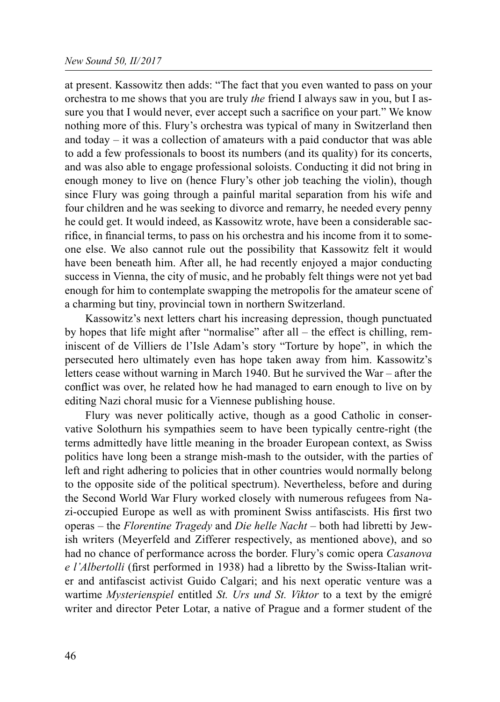at present. Kassowitz then adds: "The fact that you even wanted to pass on your orchestra to me shows that you are truly *the* friend I always saw in you, but I assure you that I would never, ever accept such a sacrifice on your part." We know nothing more of this. Flury's orchestra was typical of many in Switzerland then and today – it was a collection of amateurs with a paid conductor that was able to add a few professionals to boost its numbers (and its quality) for its concerts, and was also able to engage professional soloists. Conducting it did not bring in enough money to live on (hence Flury's other job teaching the violin), though since Flury was going through a painful marital separation from his wife and four children and he was seeking to divorce and remarry, he needed every penny he could get. It would indeed, as Kassowitz wrote, have been a considerable sacrifice, in financial terms, to pass on his orchestra and his income from it to someone else. We also cannot rule out the possibility that Kassowitz felt it would have been beneath him. After all, he had recently enjoyed a major conducting success in Vienna, the city of music, and he probably felt things were not yet bad enough for him to contemplate swapping the metropolis for the amateur scene of a charming but tiny, provincial town in northern Switzerland.

Kassowitz's next letters chart his increasing depression, though punctuated by hopes that life might after "normalise" after all – the effect is chilling, reminiscent of de Villiers de l'Isle Adam's story "Torture by hope", in which the persecuted hero ultimately even has hope taken away from him. Kassowitz's letters cease without warning in March 1940. But he survived the War – after the conflict was over, he related how he had managed to earn enough to live on by editing Nazi choral music for a Viennese publishing house.

Flury was never politically active, though as a good Catholic in conservative Solothurn his sympathies seem to have been typically centre-right (the terms admittedly have little meaning in the broader European context, as Swiss politics have long been a strange mish-mash to the outsider, with the parties of left and right adhering to policies that in other countries would normally belong to the opposite side of the political spectrum). Nevertheless, before and during the Second World War Flury worked closely with numerous refugees from Nazi-occupied Europe as well as with prominent Swiss antifascists. His first two operas – the Florentine Tragedy and Die helle Nacht – both had libretti by Jewish writers (Meyerfeld and Zifferer respectively, as mentioned above), and so had no chance of performance across the border. Flury's comic opera Casanova e l'Albertolli (first performed in 1938) had a libretto by the Swiss-Italian writer and antifascist activist Guido Calgari; and his next operatic venture was a wartime Mysterienspiel entitled St. Urs und St. Viktor to a text by the emigré writer and director Peter Lotar, a native of Prague and a former student of the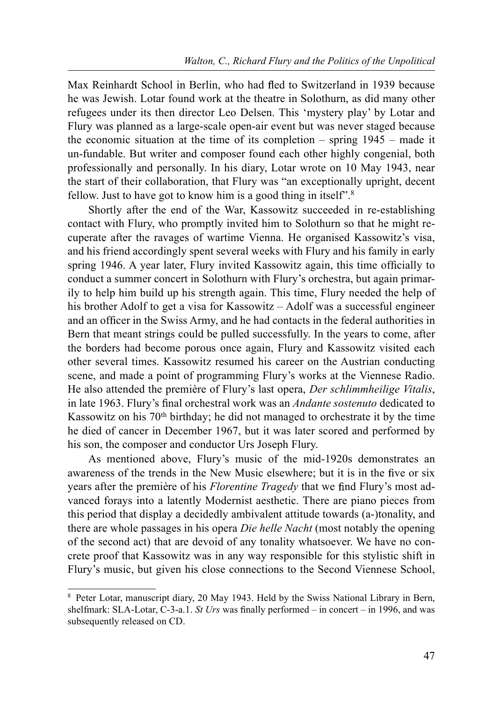Max Reinhardt School in Berlin, who had fled to Switzerland in 1939 because he was Jewish. Lotar found work at the theatre in Solothurn, as did many other refugees under its then director Leo Delsen. This 'mystery play' by Lotar and Flury was planned as a large-scale open-air event but was never staged because the economic situation at the time of its completion – spring 1945 – made it un-fundable. But writer and composer found each other highly congenial, both professionally and personally. In his diary, Lotar wrote on 10 May 1943, near the start of their collaboration, that Flury was "an exceptionally upright, decent fellow. Just to have got to know him is a good thing in itself".8

Shortly after the end of the War, Kassowitz succeeded in re-establishing contact with Flury, who promptly invited him to Solothurn so that he might recuperate after the ravages of wartime Vienna. He organised Kassowitz's visa, and his friend accordingly spent several weeks with Flury and his family in early spring 1946. A year later, Flury invited Kassowitz again, this time officially to conduct a summer concert in Solothurn with Flury's orchestra, but again primarily to help him build up his strength again. This time, Flury needed the help of his brother Adolf to get a visa for Kassowitz – Adolf was a successful engineer and an officer in the Swiss Army, and he had contacts in the federal authorities in Bern that meant strings could be pulled successfully. In the years to come, after the borders had become porous once again, Flury and Kassowitz visited each other several times. Kassowitz resumed his career on the Austrian conducting scene, and made a point of programming Flury's works at the Viennese Radio. He also attended the première of Flury's last opera, Der schlimmheilige Vitalis, in late 1963. Flury's final orchestral work was an *Andante sostenuto* dedicated to Kassowitz on his  $70<sup>th</sup>$  birthday; he did not managed to orchestrate it by the time he died of cancer in December 1967, but it was later scored and performed by his son, the composer and conductor Urs Joseph Flury.

As mentioned above, Flury's music of the mid-1920s demonstrates an awareness of the trends in the New Music elsewhere; but it is in the five or six years after the première of his *Florentine Tragedy* that we find Flury's most advanced forays into a latently Modernist aesthetic. There are piano pieces from this period that display a decidedly ambivalent attitude towards (a-)tonality, and there are whole passages in his opera *Die helle Nacht* (most notably the opening of the second act) that are devoid of any tonality whatsoever. We have no concrete proof that Kassowitz was in any way responsible for this stylistic shift in Flury's music, but given his close connections to the Second Viennese School,

<sup>&</sup>lt;sup>8</sup> Peter Lotar, manuscript diary, 20 May 1943. Held by the Swiss National Library in Bern, shelfmark: SLA-Lotar, C-3-a.1. St Urs was finally performed – in concert – in 1996, and was subsequently released on CD.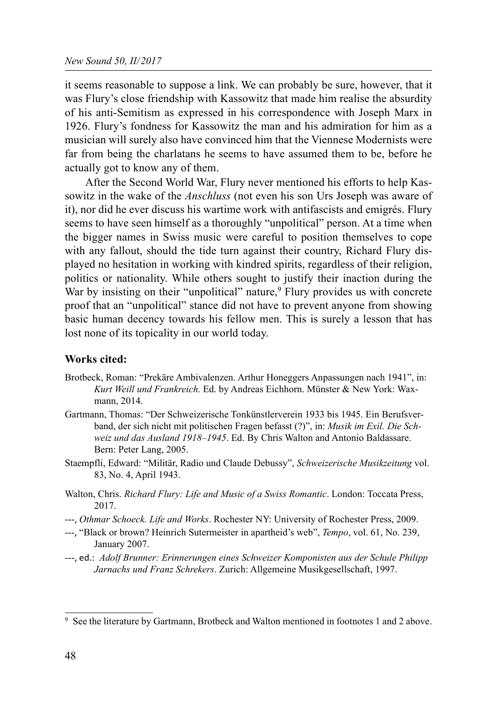it seems reasonable to suppose a link. We can probably be sure, however, that it was Flury's close friendship with Kassowitz that made him realise the absurdity of his anti-Semitism as expressed in his correspondence with Joseph Marx in 1926. Flury's fondness for Kassowitz the man and his admiration for him as a musician will surely also have convinced him that the Viennese Modernists were far from being the charlatans he seems to have assumed them to be, before he actually got to know any of them.

After the Second World War, Flury never mentioned his efforts to help Kassowitz in the wake of the Anschluss (not even his son Urs Joseph was aware of it), nor did he ever discuss his wartime work with antifascists and emigrés. Flury seems to have seen himself as a thoroughly "unpolitical" person. At a time when the bigger names in Swiss music were careful to position themselves to cope with any fallout, should the tide turn against their country, Richard Flury displayed no hesitation in working with kindred spirits, regardless of their religion, politics or nationality. While others sought to justify their inaction during the War by insisting on their "unpolitical" nature,  $\frac{9}{9}$  Flury provides us with concrete proof that an "unpolitical" stance did not have to prevent anyone from showing basic human decency towards his fellow men. This is surely a lesson that has lost none of its topicality in our world today.

## Works cited:

- Brotbeck, Roman: "Prekäre Ambivalenzen. Arthur Honeggers Anpassungen nach 1941", in: Kurt Weill und Frankreich. Ed. by Andreas Eichhorn. Münster & New York: Waxmann, 2014.
- Gartmann, Thomas: "Der Schweizerische Tonkünstlerverein 1933 bis 1945. Ein Berufsverband, der sich nicht mit politischen Fragen befasst (?)", in: Musik im Exil. Die Schweiz und das Ausland 1918–1945. Ed. By Chris Walton and Antonio Baldassare. Bern: Peter Lang, 2005.
- Staempfli, Edward: "Militär, Radio und Claude Debussy", Schweizerische Musikzeitung vol. 83, No. 4, April 1943.
- Walton, Chris. Richard Flury: Life and Music of a Swiss Romantic. London: Toccata Press, 2017.
- ---, Othmar Schoeck. Life and Works. Rochester NY: University of Rochester Press, 2009.
- ---, "Black or brown? Heinrich Sutermeister in apartheid's web", *Tempo*, vol. 61, No. 239, January 2007.
- ---, ed.: Adolf Brunner: Erinnerungen eines Schweizer Komponisten aus der Schule Philipp Jarnachs und Franz Schrekers. Zurich: Allgemeine Musikgesellschaft, 1997.

<sup>9</sup> See the literature by Gartmann, Brotbeck and Walton mentioned in footnotes 1 and 2 above.